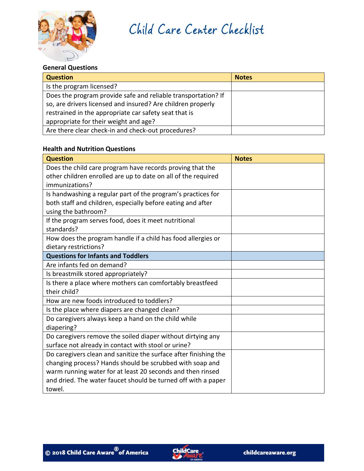

Child Care Center Checklist

#### **General Questions**

| <b>Question</b>                                               | <b>Notes</b> |
|---------------------------------------------------------------|--------------|
| Is the program licensed?                                      |              |
| Does the program provide safe and reliable transportation? If |              |
| so, are drivers licensed and insured? Are children properly   |              |
| restrained in the appropriate car safety seat that is         |              |
| appropriate for their weight and age?                         |              |
| Are there clear check-in and check-out procedures?            |              |

# **Health and Nutrition Questions**

| <b>Question</b>                                                  | <b>Notes</b> |
|------------------------------------------------------------------|--------------|
| Does the child care program have records proving that the        |              |
| other children enrolled are up to date on all of the required    |              |
| immunizations?                                                   |              |
| Is handwashing a regular part of the program's practices for     |              |
| both staff and children, especially before eating and after      |              |
| using the bathroom?                                              |              |
| If the program serves food, does it meet nutritional             |              |
| standards?                                                       |              |
| How does the program handle if a child has food allergies or     |              |
| dietary restrictions?                                            |              |
| <b>Questions for Infants and Toddlers</b>                        |              |
| Are infants fed on demand?                                       |              |
| Is breastmilk stored appropriately?                              |              |
| Is there a place where mothers can comfortably breastfeed        |              |
| their child?                                                     |              |
| How are new foods introduced to toddlers?                        |              |
| Is the place where diapers are changed clean?                    |              |
| Do caregivers always keep a hand on the child while              |              |
| diapering?                                                       |              |
| Do caregivers remove the soiled diaper without dirtying any      |              |
| surface not already in contact with stool or urine?              |              |
| Do caregivers clean and sanitize the surface after finishing the |              |
| changing process? Hands should be scrubbed with soap and         |              |
| warm running water for at least 20 seconds and then rinsed       |              |
| and dried. The water faucet should be turned off with a paper    |              |
| towel.                                                           |              |

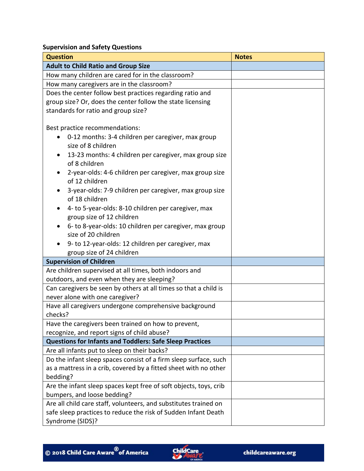**Supervision and Safety Questions**

| <b>Question</b>                                                                    | <b>Notes</b> |
|------------------------------------------------------------------------------------|--------------|
| <b>Adult to Child Ratio and Group Size</b>                                         |              |
| How many children are cared for in the classroom?                                  |              |
| How many caregivers are in the classroom?                                          |              |
| Does the center follow best practices regarding ratio and                          |              |
| group size? Or, does the center follow the state licensing                         |              |
| standards for ratio and group size?                                                |              |
|                                                                                    |              |
| Best practice recommendations:                                                     |              |
| 0-12 months: 3-4 children per caregiver, max group                                 |              |
| size of 8 children                                                                 |              |
| 13-23 months: 4 children per caregiver, max group size<br>of 8 children            |              |
| 2-year-olds: 4-6 children per caregiver, max group size<br>of 12 children          |              |
| 3-year-olds: 7-9 children per caregiver, max group size<br>of 18 children          |              |
| 4- to 5-year-olds: 8-10 children per caregiver, max                                |              |
| group size of 12 children                                                          |              |
| 6- to 8-year-olds: 10 children per caregiver, max group                            |              |
| size of 20 children                                                                |              |
| 9- to 12-year-olds: 12 children per caregiver, max                                 |              |
| group size of 24 children                                                          |              |
| <b>Supervision of Children</b>                                                     |              |
| Are children supervised at all times, both indoors and                             |              |
| outdoors, and even when they are sleeping?                                         |              |
| Can caregivers be seen by others at all times so that a child is                   |              |
| never alone with one caregiver?                                                    |              |
| Have all caregivers undergone comprehensive background                             |              |
| checks?                                                                            |              |
| Have the caregivers been trained on how to prevent,                                |              |
| recognize, and report signs of child abuse?                                        |              |
| <b>Questions for Infants and Toddlers: Safe Sleep Practices</b>                    |              |
| Are all infants put to sleep on their backs?                                       |              |
| Do the infant sleep spaces consist of a firm sleep surface, such                   |              |
| as a mattress in a crib, covered by a fitted sheet with no other<br>bedding?       |              |
| Are the infant sleep spaces kept free of soft objects, toys, crib                  |              |
| bumpers, and loose bedding?                                                        |              |
| Are all child care staff, volunteers, and substitutes trained on                   |              |
| safe sleep practices to reduce the risk of Sudden Infant Death<br>Syndrome (SIDS)? |              |

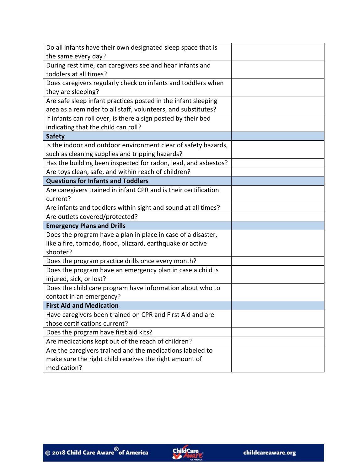| Do all infants have their own designated sleep space that is    |  |
|-----------------------------------------------------------------|--|
| the same every day?                                             |  |
| During rest time, can caregivers see and hear infants and       |  |
| toddlers at all times?                                          |  |
| Does caregivers regularly check on infants and toddlers when    |  |
| they are sleeping?                                              |  |
| Are safe sleep infant practices posted in the infant sleeping   |  |
| area as a reminder to all staff, volunteers, and substitutes?   |  |
| If infants can roll over, is there a sign posted by their bed   |  |
| indicating that the child can roll?                             |  |
| <b>Safety</b>                                                   |  |
| Is the indoor and outdoor environment clear of safety hazards,  |  |
| such as cleaning supplies and tripping hazards?                 |  |
| Has the building been inspected for radon, lead, and asbestos?  |  |
| Are toys clean, safe, and within reach of children?             |  |
| <b>Questions for Infants and Toddlers</b>                       |  |
| Are caregivers trained in infant CPR and is their certification |  |
| current?                                                        |  |
| Are infants and toddlers within sight and sound at all times?   |  |
| Are outlets covered/protected?                                  |  |
| <b>Emergency Plans and Drills</b>                               |  |
| Does the program have a plan in place in case of a disaster,    |  |
| like a fire, tornado, flood, blizzard, earthquake or active     |  |
| shooter?                                                        |  |
| Does the program practice drills once every month?              |  |
| Does the program have an emergency plan in case a child is      |  |
| injured, sick, or lost?                                         |  |
| Does the child care program have information about who to       |  |
| contact in an emergency?                                        |  |
| <b>First Aid and Medication</b>                                 |  |
| Have caregivers been trained on CPR and First Aid and are       |  |
| those certifications current?                                   |  |
| Does the program have first aid kits?                           |  |
| Are medications kept out of the reach of children?              |  |
| Are the caregivers trained and the medications labeled to       |  |
| make sure the right child receives the right amount of          |  |
| medication?                                                     |  |

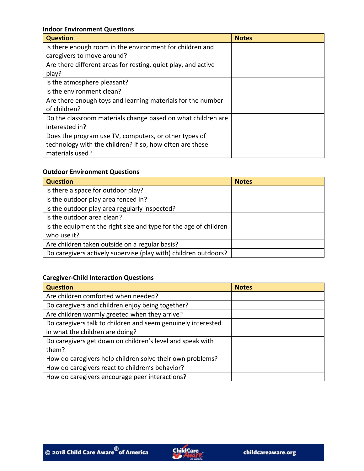#### **Indoor Environment Questions**

| <b>Question</b>                                               | <b>Notes</b> |
|---------------------------------------------------------------|--------------|
| Is there enough room in the environment for children and      |              |
| caregivers to move around?                                    |              |
| Are there different areas for resting, quiet play, and active |              |
| play?                                                         |              |
| Is the atmosphere pleasant?                                   |              |
| Is the environment clean?                                     |              |
| Are there enough toys and learning materials for the number   |              |
| of children?                                                  |              |
| Do the classroom materials change based on what children are  |              |
| interested in?                                                |              |
| Does the program use TV, computers, or other types of         |              |
| technology with the children? If so, how often are these      |              |
| materials used?                                               |              |

### **Outdoor Environment Questions**

| <b>Question</b>                                                  | <b>Notes</b> |
|------------------------------------------------------------------|--------------|
| Is there a space for outdoor play?                               |              |
| Is the outdoor play area fenced in?                              |              |
| Is the outdoor play area regularly inspected?                    |              |
| Is the outdoor area clean?                                       |              |
| Is the equipment the right size and type for the age of children |              |
| who use it?                                                      |              |
| Are children taken outside on a regular basis?                   |              |
| Do caregivers actively supervise (play with) children outdoors?  |              |

### **Caregiver-Child Interaction Questions**

| <b>Question</b>                                              | <b>Notes</b> |
|--------------------------------------------------------------|--------------|
| Are children comforted when needed?                          |              |
| Do caregivers and children enjoy being together?             |              |
| Are children warmly greeted when they arrive?                |              |
| Do caregivers talk to children and seem genuinely interested |              |
| in what the children are doing?                              |              |
| Do caregivers get down on children's level and speak with    |              |
| them?                                                        |              |
| How do caregivers help children solve their own problems?    |              |
| How do caregivers react to children's behavior?              |              |
| How do caregivers encourage peer interactions?               |              |

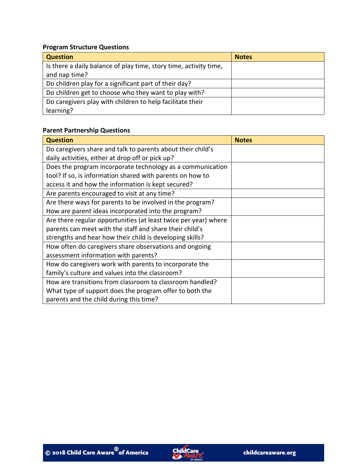# **Program Structure Questions**

| <b>Question</b>                                                   | <b>Notes</b> |
|-------------------------------------------------------------------|--------------|
| Is there a daily balance of play time, story time, activity time, |              |
| and nap time?                                                     |              |
| Do children play for a significant part of their day?             |              |
| Do children get to choose who they want to play with?             |              |
| Do caregivers play with children to help facilitate their         |              |
| learning?                                                         |              |

# **Parent Partnership Questions**

| <b>Question</b>                                                 | <b>Notes</b> |
|-----------------------------------------------------------------|--------------|
| Do caregivers share and talk to parents about their child's     |              |
| daily activities, either at drop off or pick up?                |              |
| Does the program incorporate technology as a communication      |              |
| tool? If so, is information shared with parents on how to       |              |
| access it and how the information is kept secured?              |              |
| Are parents encouraged to visit at any time?                    |              |
| Are there ways for parents to be involved in the program?       |              |
| How are parent ideas incorporated into the program?             |              |
| Are there regular opportunities (at least twice per year) where |              |
| parents can meet with the staff and share their child's         |              |
| strengths and hear how their child is developing skills?        |              |
| How often do caregivers share observations and ongoing          |              |
| assessment information with parents?                            |              |
| How do caregivers work with parents to incorporate the          |              |
| family's culture and values into the classroom?                 |              |
| How are transitions from classroom to classroom handled?        |              |
| What type of support does the program offer to both the         |              |
| parents and the child during this time?                         |              |